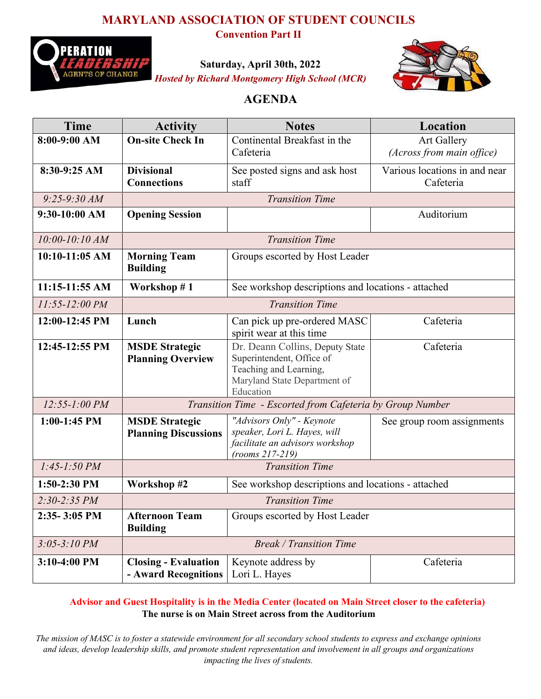### **MARYLAND ASSOCIATION OF STUDENT COUNCILS**



**Convention Part II**

**Saturday, April 30th, 2022** *Hosted by Richard Montgomery High School (MCR)*



### **AGENDA**

| <b>Time</b>        | <b>Activity</b>                                           | <b>Notes</b>                                                                                                                        | Location                                   |  |  |
|--------------------|-----------------------------------------------------------|-------------------------------------------------------------------------------------------------------------------------------------|--------------------------------------------|--|--|
| 8:00-9:00 AM       | <b>On-site Check In</b>                                   | Continental Breakfast in the<br>Cafeteria                                                                                           | Art Gallery<br>(Across from main office)   |  |  |
| 8:30-9:25 AM       | <b>Divisional</b><br><b>Connections</b>                   | See posted signs and ask host<br>staff                                                                                              | Various locations in and near<br>Cafeteria |  |  |
| $9:25 - 9:30$ AM   | <b>Transition Time</b>                                    |                                                                                                                                     |                                            |  |  |
| 9:30-10:00 AM      | <b>Opening Session</b>                                    |                                                                                                                                     | Auditorium                                 |  |  |
| $10:00 - 10:10 AM$ | <b>Transition Time</b>                                    |                                                                                                                                     |                                            |  |  |
| $10:10-11:05$ AM   | <b>Morning Team</b><br><b>Building</b>                    | Groups escorted by Host Leader                                                                                                      |                                            |  |  |
| 11:15-11:55 AM     | Workshop #1                                               | See workshop descriptions and locations - attached                                                                                  |                                            |  |  |
| $11:55 - 12:00 PM$ | <b>Transition Time</b>                                    |                                                                                                                                     |                                            |  |  |
| 12:00-12:45 PM     | Lunch                                                     | Can pick up pre-ordered MASC<br>spirit wear at this time                                                                            | Cafeteria                                  |  |  |
| 12:45-12:55 PM     | <b>MSDE Strategic</b><br><b>Planning Overview</b>         | Dr. Deann Collins, Deputy State<br>Superintendent, Office of<br>Teaching and Learning,<br>Maryland State Department of<br>Education | Cafeteria                                  |  |  |
| $12:55 - 1:00 PM$  | Transition Time - Escorted from Cafeteria by Group Number |                                                                                                                                     |                                            |  |  |
| $1:00-1:45$ PM     | <b>MSDE Strategic</b><br><b>Planning Discussions</b>      | "Advisors Only" - Keynote<br>speaker, Lori L. Hayes, will<br>facilitate an advisors workshop<br>$(rooms 217-219)$                   | See group room assignments                 |  |  |
| $1:45-1:50 PM$     | <b>Transition Time</b>                                    |                                                                                                                                     |                                            |  |  |
| 1:50-2:30 PM       | Workshop #2                                               | See workshop descriptions and locations - attached                                                                                  |                                            |  |  |
| $2:30-2:35$ PM     | <b>Transition Time</b>                                    |                                                                                                                                     |                                            |  |  |
| 2:35-3:05 PM       | <b>Afternoon Team</b><br><b>Building</b>                  | Groups escorted by Host Leader                                                                                                      |                                            |  |  |
| $3:05 - 3:10 PM$   | <b>Break / Transition Time</b>                            |                                                                                                                                     |                                            |  |  |
| 3:10-4:00 PM       | <b>Closing - Evaluation</b><br>- Award Recognitions       | Keynote address by<br>Lori L. Hayes                                                                                                 | Cafeteria                                  |  |  |

### **Advisor and Guest Hospitality is in the Media Center (located on Main Street closer to the cafeteria) The nurse is on Main Street across from the Auditorium**

*The mission of MASC is to foster a statewide environment for all secondary school students to express and exchange opinions and ideas, develop leadership skills, and promote student representation and involvement in all groups and organizations impacting the lives of students.*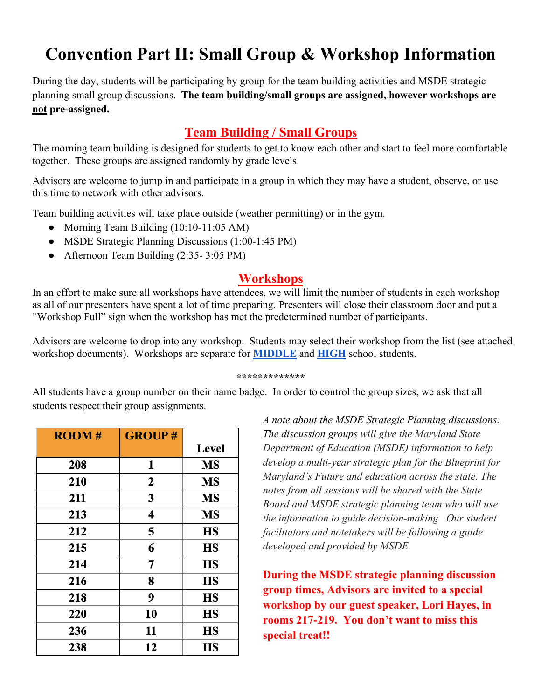# **Convention Part II: Small Group & Workshop Information**

During the day, students will be participating by group for the team building activities and MSDE strategic planning small group discussions. **The team building/small groups are assigned, however workshops are not pre-assigned.**

# **Team Building / Small Groups**

The morning team building is designed for students to get to know each other and start to feel more comfortable together. These groups are assigned randomly by grade levels.

Advisors are welcome to jump in and participate in a group in which they may have a student, observe, or use this time to network with other advisors.

Team building activities will take place outside (weather permitting) or in the gym.

- Morning Team Building (10:10-11:05 AM)
- MSDE Strategic Planning Discussions (1:00-1:45 PM)
- Afternoon Team Building (2:35- 3:05 PM)

### **Workshops**

In an effort to make sure all workshops have attendees, we will limit the number of students in each workshop as all of our presenters have spent a lot of time preparing. Presenters will close their classroom door and put a "Workshop Full" sign when the workshop has met the predetermined number of participants.

Advisors are welcome to drop into any workshop. Students may select their workshop from the list (see attached workshop documents). Workshops are separate for **MIDDLE** and **HIGH** school students.

#### **\*\*\*\*\*\*\*\*\*\*\*\*\***

All students have a group number on their name badge. In order to control the group sizes, we ask that all students respect their group assignments.

| <b>ROOM#</b> | <b>GROUP#</b> |              |
|--------------|---------------|--------------|
|              |               | <b>Level</b> |
| 208          | 1             | <b>MS</b>    |
| 210          | $\mathbf{2}$  | <b>MS</b>    |
| 211          | 3             | <b>MS</b>    |
| 213          | 4             | <b>MS</b>    |
| 212          | 5             | <b>HS</b>    |
| 215          | 6             | <b>HS</b>    |
| 214          | 7             | <b>HS</b>    |
| 216          | 8             | <b>HS</b>    |
| 218          | 9             | <b>HS</b>    |
| 220          | 10            | <b>HS</b>    |
| 236          | 11            | <b>HS</b>    |
| 238          | 12            | <b>HS</b>    |

*A note about the MSDE Strategic Planning discussions: The discussion groups will give the Maryland State Department of Education (MSDE) information to help develop a multi-year strategic plan for the Blueprint for Maryland's Future and education across the state. The notes from all sessions will be shared with the State Board and MSDE strategic planning team who will use the information to guide decision-making. Our student facilitators and notetakers will be following a guide developed and provided by MSDE.* 

**During the MSDE strategic planning discussion group times, Advisors are invited to a special workshop by our guest speaker, Lori Hayes, in rooms 217-219. You don't want to miss this special treat!!**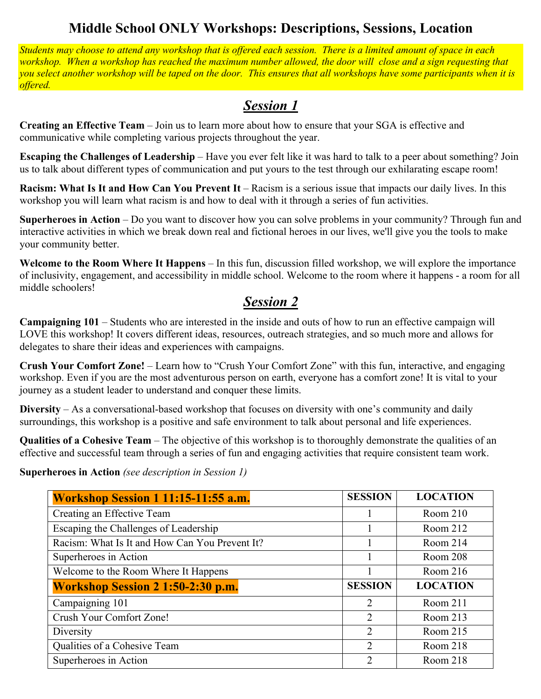# **Middle School ONLY Workshops: Descriptions, Sessions, Location**

*Students may choose to attend any workshop that is offered each session. There is a limited amount of space in each workshop. When a workshop has reached the maximum number allowed, the door will close and a sign requesting that you select another workshop will be taped on the door. This ensures that all workshops have some participants when it is offered.*

# *Session 1*

**Creating an Effective Team** – Join us to learn more about how to ensure that your SGA is effective and communicative while completing various projects throughout the year.

**Escaping the Challenges of Leadership** – Have you ever felt like it was hard to talk to a peer about something? Join us to talk about different types of communication and put yours to the test through our exhilarating escape room!

**Racism: What Is It and How Can You Prevent It** – Racism is a serious issue that impacts our daily lives. In this workshop you will learn what racism is and how to deal with it through a series of fun activities.

**Superheroes in Action** – Do you want to discover how you can solve problems in your community? Through fun and interactive activities in which we break down real and fictional heroes in our lives, we'll give you the tools to make your community better.

**Welcome to the Room Where It Happens** – In this fun, discussion filled workshop, we will explore the importance of inclusivity, engagement, and accessibility in middle school. Welcome to the room where it happens - a room for all middle schoolers!

### *Session 2*

**Campaigning 101** – Students who are interested in the inside and outs of how to run an effective campaign will LOVE this workshop! It covers different ideas, resources, outreach strategies, and so much more and allows for delegates to share their ideas and experiences with campaigns.

**Crush Your Comfort Zone!** – Learn how to "Crush Your Comfort Zone" with this fun, interactive, and engaging workshop. Even if you are the most adventurous person on earth, everyone has a comfort zone! It is vital to your journey as a student leader to understand and conquer these limits.

**Diversity** – As a conversational-based workshop that focuses on diversity with one's community and daily surroundings, this workshop is a positive and safe environment to talk about personal and life experiences.

**Qualities of a Cohesive Team** – The objective of this workshop is to thoroughly demonstrate the qualities of an effective and successful team through a series of fun and engaging activities that require consistent team work.

**Superheroes in Action** *(see description in Session 1)* 

| Workshop Session 1 11:15-11:55 a.m.            | <b>SESSION</b> | <b>LOCATION</b> |
|------------------------------------------------|----------------|-----------------|
| Creating an Effective Team                     |                | Room 210        |
| Escaping the Challenges of Leadership          |                | Room 212        |
| Racism: What Is It and How Can You Prevent It? |                | Room 214        |
| Superheroes in Action                          |                | Room 208        |
| Welcome to the Room Where It Happens           |                | Room 216        |
| <b>Workshop Session 2 1:50-2:30 p.m.</b>       | <b>SESSION</b> | <b>LOCATION</b> |
| Campaigning 101                                | 2              | Room 211        |
| Crush Your Comfort Zone!                       | 2              | Room $213$      |
| Diversity                                      | 2              | Room $215$      |
| Qualities of a Cohesive Team                   | 2              | Room 218        |
| Superheroes in Action                          | $\overline{2}$ | Room 218        |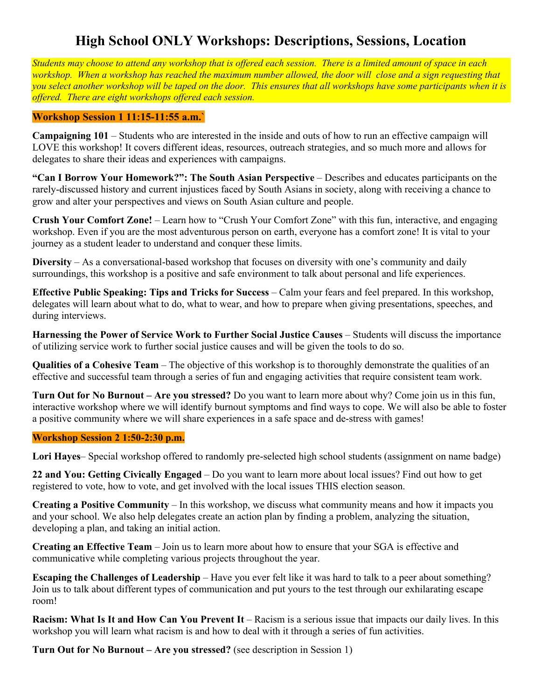# **High School ONLY Workshops: Descriptions, Sessions, Location**

*Students may choose to attend any workshop that is offered each session. There is a limited amount of space in each workshop. When a workshop has reached the maximum number allowed, the door will close and a sign requesting that you select another workshop will be taped on the door. This ensures that all workshops have some participants when it is offered. There are eight workshops offered each session.*

#### **Workshop Session 1 11:15-11:55 a.m.`**

**Campaigning 101** – Students who are interested in the inside and outs of how to run an effective campaign will LOVE this workshop! It covers different ideas, resources, outreach strategies, and so much more and allows for delegates to share their ideas and experiences with campaigns.

**"Can I Borrow Your Homework?": The South Asian Perspective** – Describes and educates participants on the rarely-discussed history and current injustices faced by South Asians in society, along with receiving a chance to grow and alter your perspectives and views on South Asian culture and people.

**Crush Your Comfort Zone!** – Learn how to "Crush Your Comfort Zone" with this fun, interactive, and engaging workshop. Even if you are the most adventurous person on earth, everyone has a comfort zone! It is vital to your journey as a student leader to understand and conquer these limits.

**Diversity** – As a conversational-based workshop that focuses on diversity with one's community and daily surroundings, this workshop is a positive and safe environment to talk about personal and life experiences.

**Effective Public Speaking: Tips and Tricks for Success** – Calm your fears and feel prepared. In this workshop, delegates will learn about what to do, what to wear, and how to prepare when giving presentations, speeches, and during interviews.

**Harnessing the Power of Service Work to Further Social Justice Causes** – Students will discuss the importance of utilizing service work to further social justice causes and will be given the tools to do so.

**Qualities of a Cohesive Team** – The objective of this workshop is to thoroughly demonstrate the qualities of an effective and successful team through a series of fun and engaging activities that require consistent team work.

**Turn Out for No Burnout – Are you stressed?** Do you want to learn more about why? Come join us in this fun, interactive workshop where we will identify burnout symptoms and find ways to cope. We will also be able to foster a positive community where we will share experiences in a safe space and de-stress with games!

#### **Workshop Session 2 1:50-2:30 p.m.**

**Lori Hayes**– Special workshop offered to randomly pre-selected high school students (assignment on name badge)

**22 and You: Getting Civically Engaged** – Do you want to learn more about local issues? Find out how to get registered to vote, how to vote, and get involved with the local issues THIS election season.

**Creating a Positive Community** – In this workshop, we discuss what community means and how it impacts you and your school. We also help delegates create an action plan by finding a problem, analyzing the situation, developing a plan, and taking an initial action.

**Creating an Effective Team** – Join us to learn more about how to ensure that your SGA is effective and communicative while completing various projects throughout the year.

**Escaping the Challenges of Leadership** – Have you ever felt like it was hard to talk to a peer about something? Join us to talk about different types of communication and put yours to the test through our exhilarating escape room!

**Racism: What Is It and How Can You Prevent It** – Racism is a serious issue that impacts our daily lives. In this workshop you will learn what racism is and how to deal with it through a series of fun activities.

**Turn Out for No Burnout – Are you stressed?** (see description in Session 1)